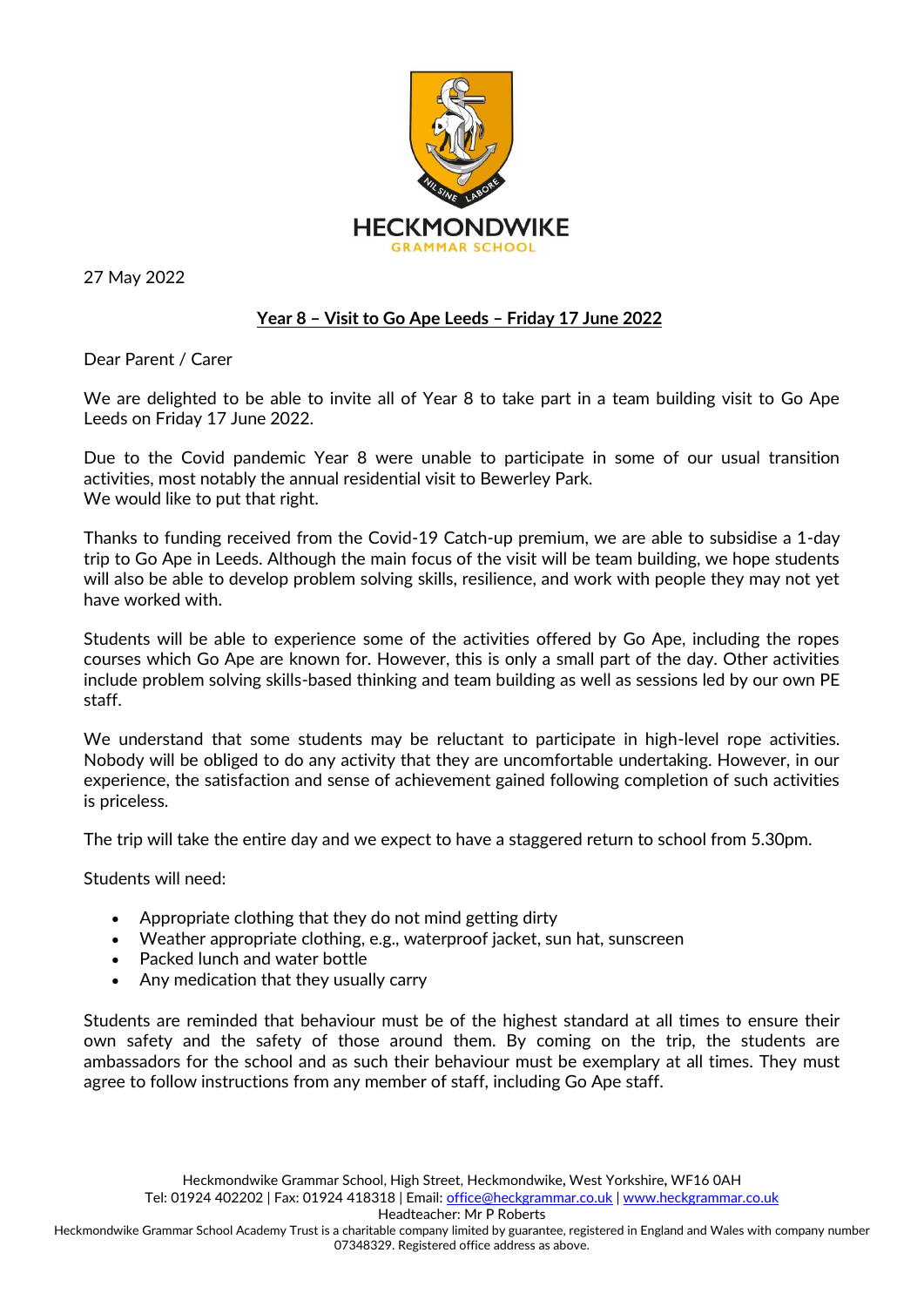

27 May 2022

## **Year 8 – Visit to Go Ape Leeds – Friday 17 June 2022**

Dear Parent / Carer

We are delighted to be able to invite all of Year 8 to take part in a team building visit to Go Ape Leeds on Friday 17 June 2022.

Due to the Covid pandemic Year 8 were unable to participate in some of our usual transition activities, most notably the annual residential visit to Bewerley Park. We would like to put that right.

Thanks to funding received from the Covid-19 Catch-up premium, we are able to subsidise a 1-day trip to Go Ape in Leeds. Although the main focus of the visit will be team building, we hope students will also be able to develop problem solving skills, resilience, and work with people they may not yet have worked with.

Students will be able to experience some of the activities offered by Go Ape, including the ropes courses which Go Ape are known for. However, this is only a small part of the day. Other activities include problem solving skills-based thinking and team building as well as sessions led by our own PE staff.

We understand that some students may be reluctant to participate in high-level rope activities. Nobody will be obliged to do any activity that they are uncomfortable undertaking. However, in our experience, the satisfaction and sense of achievement gained following completion of such activities is priceless.

The trip will take the entire day and we expect to have a staggered return to school from 5.30pm.

Students will need:

- Appropriate clothing that they do not mind getting dirty
- Weather appropriate clothing, e.g., waterproof jacket, sun hat, sunscreen
- Packed lunch and water bottle
- Any medication that they usually carry

Students are reminded that behaviour must be of the highest standard at all times to ensure their own safety and the safety of those around them. By coming on the trip, the students are ambassadors for the school and as such their behaviour must be exemplary at all times. They must agree to follow instructions from any member of staff, including Go Ape staff.

Headteacher: Mr P Roberts

Heckmondwike Grammar School Academy Trust is a charitable company limited by guarantee, registered in England and Wales with company number 07348329. Registered office address as above.